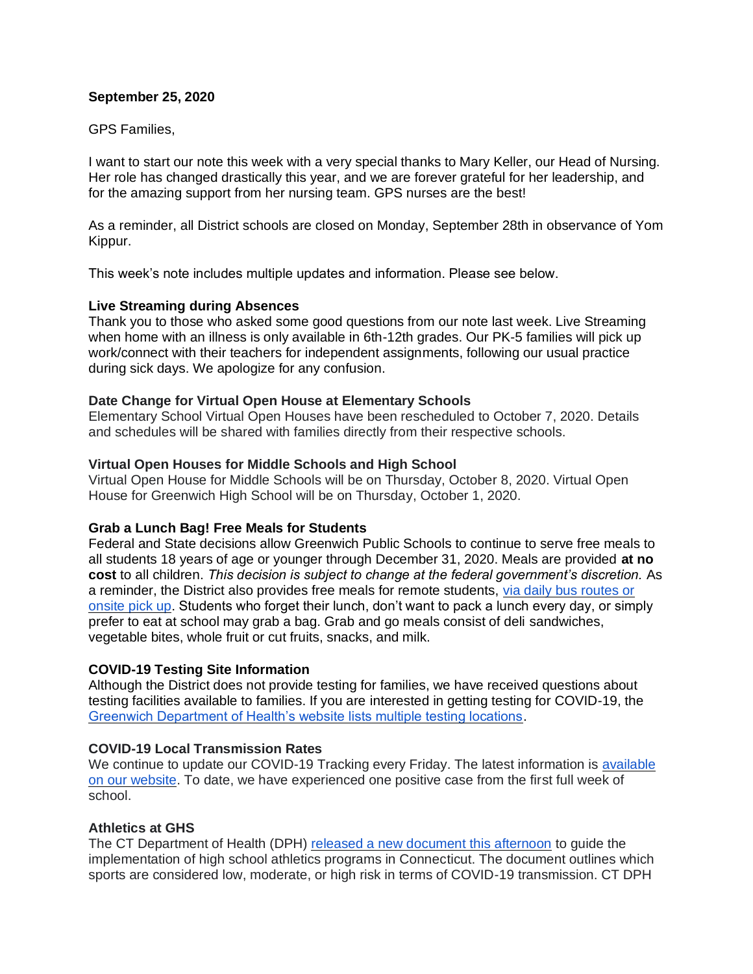### **September 25, 2020**

### GPS Families,

I want to start our note this week with a very special thanks to Mary Keller, our Head of Nursing. Her role has changed drastically this year, and we are forever grateful for her leadership, and for the amazing support from her nursing team. GPS nurses are the best!

As a reminder, all District schools are closed on Monday, September 28th in observance of Yom Kippur.

This week's note includes multiple updates and information. Please see below.

### **Live Streaming during Absences**

Thank you to those who asked some good questions from our note last week. Live Streaming when home with an illness is only available in 6th-12th grades. Our PK-5 families will pick up work/connect with their teachers for independent assignments, following our usual practice during sick days. We apologize for any confusion.

### **Date Change for Virtual Open House at Elementary Schools**

Elementary School Virtual Open Houses have been rescheduled to October 7, 2020. Details and schedules will be shared with families directly from their respective schools.

# **Virtual Open Houses for Middle Schools and High School**

Virtual Open House for Middle Schools will be on Thursday, October 8, 2020. Virtual Open House for Greenwich High School will be on Thursday, October 1, 2020.

### **Grab a Lunch Bag! Free Meals for Students**

Federal and State decisions allow Greenwich Public Schools to continue to serve free meals to all students 18 years of age or younger through December 31, 2020. Meals are provided **at no cost** to all children. *This decision is subject to change at the federal government's discretion.* As a reminder, the District also provides free meals for remote students, [via daily bus routes or](https://resources.finalsite.net/images/v1599249619/greenwich/mrcudqpbovkzljkhzana/BreakfastLunchService_RouteSchedule_Sept2020.pdf)  [onsite pick up.](https://resources.finalsite.net/images/v1599249619/greenwich/mrcudqpbovkzljkhzana/BreakfastLunchService_RouteSchedule_Sept2020.pdf) Students who forget their lunch, don't want to pack a lunch every day, or simply prefer to eat at school may grab a bag. Grab and go meals consist of deli sandwiches, vegetable bites, whole fruit or cut fruits, snacks, and milk.

# **COVID-19 Testing Site Information**

Although the District does not provide testing for families, we have received questions about testing facilities available to families. If you are interested in getting testing for COVID-19, the [Greenwich Department of Health's website lists multiple testing locations.](https://www.greenwichct.gov/575/Health-Department)

# **COVID-19 Local Transmission Rates**

We continue to update our COVID-19 Tracking every Friday. The latest information is available [on our website.](https://www.greenwichschools.org/teaching-learning/student-support-services/health-services/covid-19) To date, we have experienced one positive case from the first full week of school.

# **Athletics at GHS**

The CT Department of Health (DPH) [released a new document this afternoon](https://portal.ct.gov/DPH/Communications/Guidance/General-Guidance-for-Youth-and--Amateur-Sport-Activities-during-COVID-19-Pandemic) to guide the implementation of high school athletics programs in Connecticut. The document outlines which sports are considered low, moderate, or high risk in terms of COVID-19 transmission. CT DPH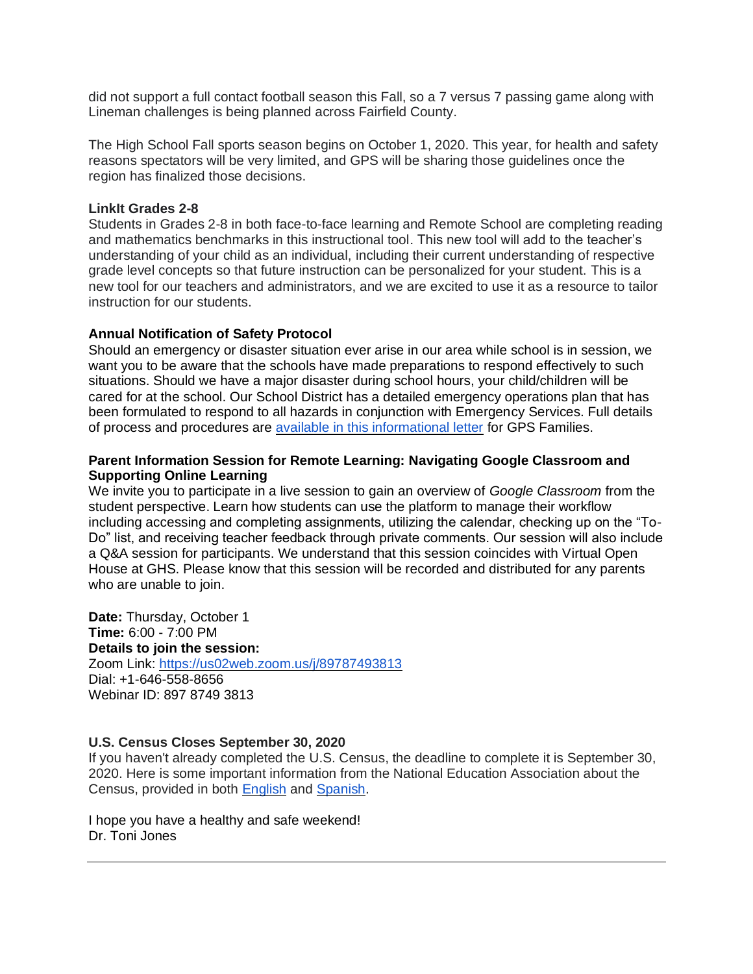did not support a full contact football season this Fall, so a 7 versus 7 passing game along with Lineman challenges is being planned across Fairfield County.

The High School Fall sports season begins on October 1, 2020. This year, for health and safety reasons spectators will be very limited, and GPS will be sharing those guidelines once the region has finalized those decisions.

### **LinkIt Grades 2-8**

Students in Grades 2-8 in both face-to-face learning and Remote School are completing reading and mathematics benchmarks in this instructional tool. This new tool will add to the teacher's understanding of your child as an individual, including their current understanding of respective grade level concepts so that future instruction can be personalized for your student. This is a new tool for our teachers and administrators, and we are excited to use it as a resource to tailor instruction for our students.

# **Annual Notification of Safety Protocol**

Should an emergency or disaster situation ever arise in our area while school is in session, we want you to be aware that the schools have made preparations to respond effectively to such situations. Should we have a major disaster during school hours, your child/children will be cared for at the school. Our School District has a detailed emergency operations plan that has been formulated to respond to all hazards in conjunction with Emergency Services. Full details of process and procedures are [available in this informational letter](https://resources.finalsite.net/images/v1600969127/greenwich/uasonxewqgqpjnbqticn/GPSSafetyandEmergencyProcedureLetters-2020-2021.pdf) for GPS Families.

# **Parent Information Session for Remote Learning: Navigating Google Classroom and Supporting Online Learning**

We invite you to participate in a live session to gain an overview of *Google Classroom* from the student perspective. Learn how students can use the platform to manage their workflow including accessing and completing assignments, utilizing the calendar, checking up on the "To-Do" list, and receiving teacher feedback through private comments. Our session will also include a Q&A session for participants. We understand that this session coincides with Virtual Open House at GHS. Please know that this session will be recorded and distributed for any parents who are unable to join.

**Date:** Thursday, October 1 **Time:** 6:00 - 7:00 PM **Details to join the session:** Zoom Link:<https://us02web.zoom.us/j/89787493813> Dial: +1-646-558-8656 Webinar ID: 897 8749 3813

# **U.S. Census Closes September 30, 2020**

If you haven't already completed the U.S. Census, the deadline to complete it is September 30, 2020. Here is some important information from the National Education Association about the Census, provided in both [English](https://educationvotes.nea.org/wp-content/uploads/2020/09/2020-Census-Flyer_English.pdf?_ga=2.143319605.1083393831.1600951416-738237223.1590495095) and [Spanish.](https://educationvotes.nea.org/wp-content/uploads/2020/09/2020-Census-Flyer_Spanish.pdf?_ga=2.140070451.1083393831.1600951416-738237223.1590495095)

I hope you have a healthy and safe weekend! Dr. Toni Jones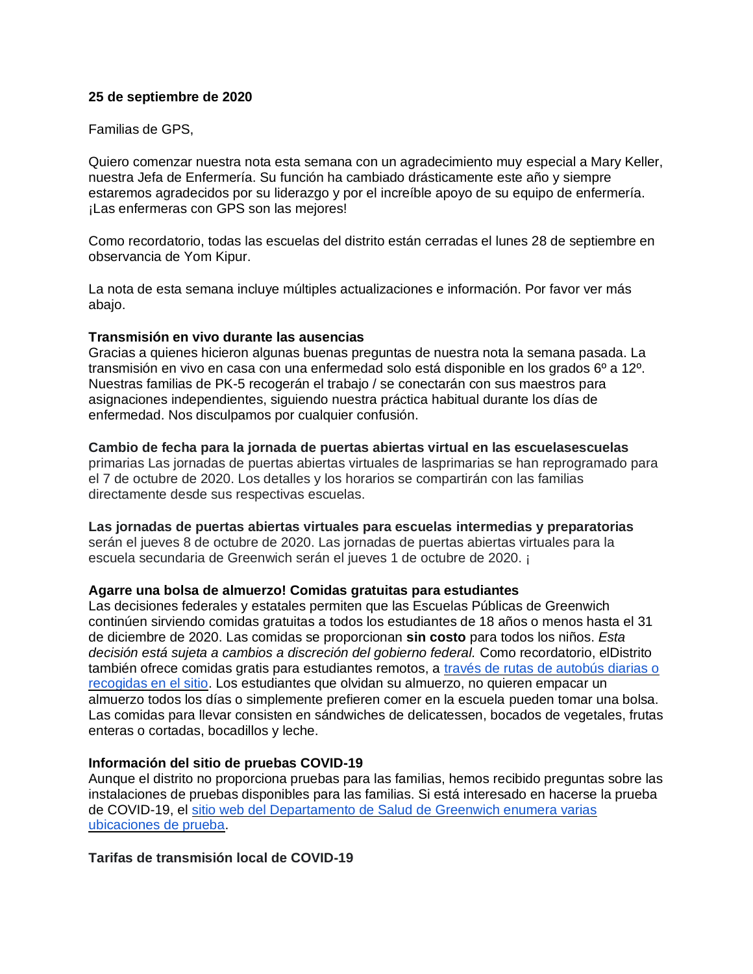### **25 de septiembre de 2020**

Familias de GPS,

Quiero comenzar nuestra nota esta semana con un agradecimiento muy especial a Mary Keller, nuestra Jefa de Enfermería. Su función ha cambiado drásticamente este año y siempre estaremos agradecidos por su liderazgo y por el increíble apoyo de su equipo de enfermería. ¡Las enfermeras con GPS son las mejores!

Como recordatorio, todas las escuelas del distrito están cerradas el lunes 28 de septiembre en observancia de Yom Kipur.

La nota de esta semana incluye múltiples actualizaciones e información. Por favor ver más abajo.

### **Transmisión en vivo durante las ausencias**

Gracias a quienes hicieron algunas buenas preguntas de nuestra nota la semana pasada. La transmisión en vivo en casa con una enfermedad solo está disponible en los grados 6º a 12º. Nuestras familias de PK-5 recogerán el trabajo / se conectarán con sus maestros para asignaciones independientes, siguiendo nuestra práctica habitual durante los días de enfermedad. Nos disculpamos por cualquier confusión.

### **Cambio de fecha para la jornada de puertas abiertas virtual en las escuelasescuelas**

primarias Las jornadas de puertas abiertas virtuales de lasprimarias se han reprogramado para el 7 de octubre de 2020. Los detalles y los horarios se compartirán con las familias directamente desde sus respectivas escuelas.

# **Las jornadas de puertas abiertas virtuales para escuelas intermedias y preparatorias**

serán el jueves 8 de octubre de 2020. Las jornadas de puertas abiertas virtuales para la escuela secundaria de Greenwich serán el jueves 1 de octubre de 2020. ¡

### **Agarre una bolsa de almuerzo! Comidas gratuitas para estudiantes**

Las decisiones federales y estatales permiten que las Escuelas Públicas de Greenwich continúen sirviendo comidas gratuitas a todos los estudiantes de 18 años o menos hasta el 31 de diciembre de 2020. Las comidas se proporcionan **sin costo** para todos los niños. *Esta decisión está sujeta a cambios a discreción del gobierno federal.* Como recordatorio, elDistrito también ofrece comidas gratis para estudiantes remotos, a [través de rutas de autobús diarias o](https://resources.finalsite.net/images/v1599249619/greenwich/mrcudqpbovkzljkhzana/BreakfastLunchService_RouteSchedule_Sept2020.pdf)  [recogidas en el sitio.](https://resources.finalsite.net/images/v1599249619/greenwich/mrcudqpbovkzljkhzana/BreakfastLunchService_RouteSchedule_Sept2020.pdf) Los estudiantes que olvidan su almuerzo, no quieren empacar un almuerzo todos los días o simplemente prefieren comer en la escuela pueden tomar una bolsa. Las comidas para llevar consisten en sándwiches de delicatessen, bocados de vegetales, frutas enteras o cortadas, bocadillos y leche.

# **Información del sitio de pruebas COVID-19**

Aunque el distrito no proporciona pruebas para las familias, hemos recibido preguntas sobre las instalaciones de pruebas disponibles para las familias. Si está interesado en hacerse la prueba de COVID-19, el [sitio web del Departamento de Salud de Greenwich enumera varias](https://www.greenwichct.gov/575/Health-Department)  [ubicaciones de prueba.](https://www.greenwichct.gov/575/Health-Department)

# **Tarifas de transmisión local de COVID-19**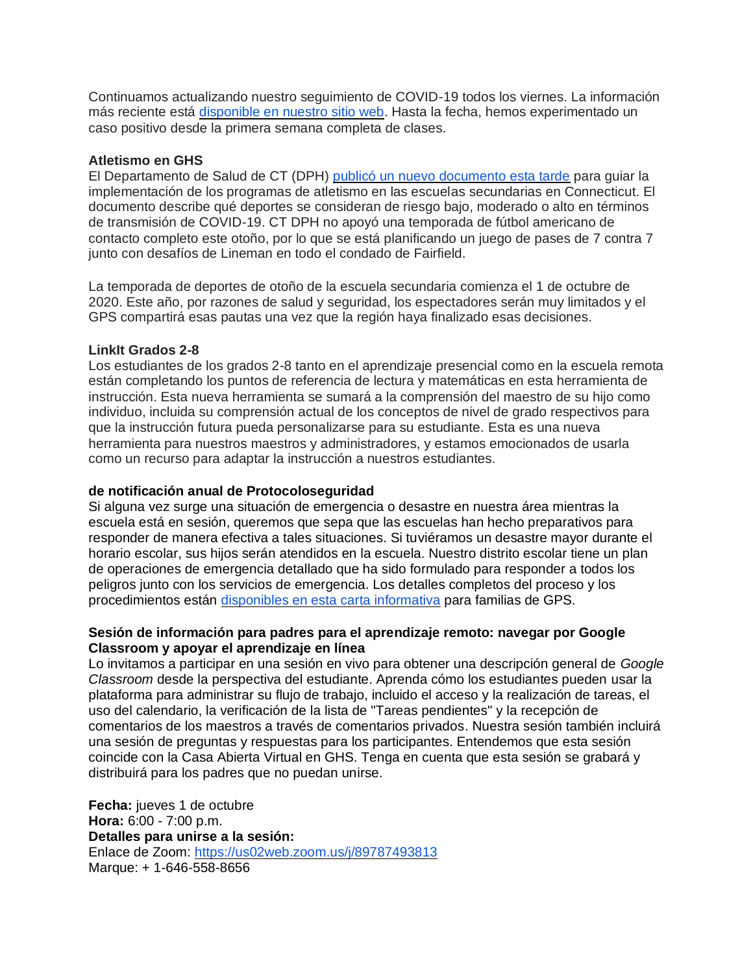Continuamos actualizando nuestro seguimiento de COVID-19 todos los viernes. La información más reciente está [disponible en nuestro sitio web.](https://www.greenwichschools.org/teaching-learning/student-support-services/health-services/covid-19) Hasta la fecha, hemos experimentado un caso positivo desde la primera semana completa de clases.

### **Atletismo en GHS**

El Departamento de Salud de CT (DPH) [publicó un nuevo documento esta tarde](https://portal.ct.gov/DPH/Communications/Guidance/General-Guidance-for-Youth-and--Amateur-Sport-Activities-during-COVID-19-Pandemic) para guiar la implementación de los programas de atletismo en las escuelas secundarias en Connecticut. El documento describe qué deportes se consideran de riesgo bajo, moderado o alto en términos de transmisión de COVID-19. CT DPH no apoyó una temporada de fútbol americano de contacto completo este otoño, por lo que se está planificando un juego de pases de 7 contra 7 junto con desafíos de Lineman en todo el condado de Fairfield.

La temporada de deportes de otoño de la escuela secundaria comienza el 1 de octubre de 2020. Este año, por razones de salud y seguridad, los espectadores serán muy limitados y el GPS compartirá esas pautas una vez que la región haya finalizado esas decisiones.

### **LinkIt Grados 2-8**

Los estudiantes de los grados 2-8 tanto en el aprendizaje presencial como en la escuela remota están completando los puntos de referencia de lectura y matemáticas en esta herramienta de instrucción. Esta nueva herramienta se sumará a la comprensión del maestro de su hijo como individuo, incluida su comprensión actual de los conceptos de nivel de grado respectivos para que la instrucción futura pueda personalizarse para su estudiante. Esta es una nueva herramienta para nuestros maestros y administradores, y estamos emocionados de usarla como un recurso para adaptar la instrucción a nuestros estudiantes.

### **de notificación anual de Protocoloseguridad**

Si alguna vez surge una situación de emergencia o desastre en nuestra área mientras la escuela está en sesión, queremos que sepa que las escuelas han hecho preparativos para responder de manera efectiva a tales situaciones. Si tuviéramos un desastre mayor durante el horario escolar, sus hijos serán atendidos en la escuela. Nuestro distrito escolar tiene un plan de operaciones de emergencia detallado que ha sido formulado para responder a todos los peligros junto con los servicios de emergencia. Los detalles completos del proceso y los procedimientos están [disponibles en esta carta informativa](https://resources.finalsite.net/images/v1600969127/greenwich/uasonxewqgqpjnbqticn/GPSSafetyandEmergencyProcedureLetters-2020-2021.pdf) para familias de GPS.

### **Sesión de información para padres para el aprendizaje remoto: navegar por Google Classroom y apoyar el aprendizaje en línea**

Lo invitamos a participar en una sesión en vivo para obtener una descripción general de *Google Classroom* desde la perspectiva del estudiante. Aprenda cómo los estudiantes pueden usar la plataforma para administrar su flujo de trabajo, incluido el acceso y la realización de tareas, el uso del calendario, la verificación de la lista de "Tareas pendientes" y la recepción de comentarios de los maestros a través de comentarios privados. Nuestra sesión también incluirá una sesión de preguntas y respuestas para los participantes. Entendemos que esta sesión coincide con la Casa Abierta Virtual en GHS. Tenga en cuenta que esta sesión se grabará y distribuirá para los padres que no puedan unirse.

**Fecha:** jueves 1 de octubre **Hora:** 6:00 - 7:00 p.m. **Detalles para unirse a la sesión:** Enlace de Zoom:<https://us02web.zoom.us/j/89787493813> Marque: + 1-646-558-8656